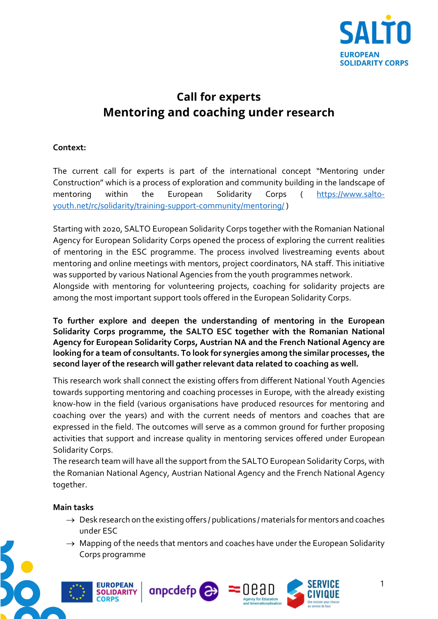

# Call for experts Mentoring and coaching under research

## Context:

The current call for experts is part of the international concept "Mentoring under Construction" which is a process of exploration and community building in the landscape of mentoring within the European Solidarity Corps ( https://www.saltoyouth.net/rc/solidarity/training-support-community/mentoring/ )

Starting with 2020, SALTO European Solidarity Corps together with the Romanian National Agency for European Solidarity Corps opened the process of exploring the current realities of mentoring in the ESC programme. The process involved livestreaming events about mentoring and online meetings with mentors, project coordinators, NA staff. This initiative was supported by various National Agencies from the youth programmes network.

Alongside with mentoring for volunteering projects, coaching for solidarity projects are among the most important support tools offered in the European Solidarity Corps.

To further explore and deepen the understanding of mentoring in the European Solidarity Corps programme, the SALTO ESC together with the Romanian National Agency for European Solidarity Corps, Austrian NA and the French National Agency are looking for a team of consultants. To look for synergies among the similar processes, the second layer of the research will gather relevant data related to coaching as well.

This research work shall connect the existing offers from different National Youth Agencies towards supporting mentoring and coaching processes in Europe, with the already existing know-how in the field (various organisations have produced resources for mentoring and coaching over the years) and with the current needs of mentors and coaches that are expressed in the field. The outcomes will serve as a common ground for further proposing activities that support and increase quality in mentoring services offered under European Solidarity Corps.

The research team will have all the support from the SALTO European Solidarity Corps, with the Romanian National Agency, Austrian National Agency and the French National Agency together.

#### Main tasks

**FUROPEAN** 

- $\rightarrow$  Desk research on the existing offers / publications / materials for mentors and coaches under ESC
- $\rightarrow$  Mapping of the needs that mentors and coaches have under the European Solidarity Corps programme





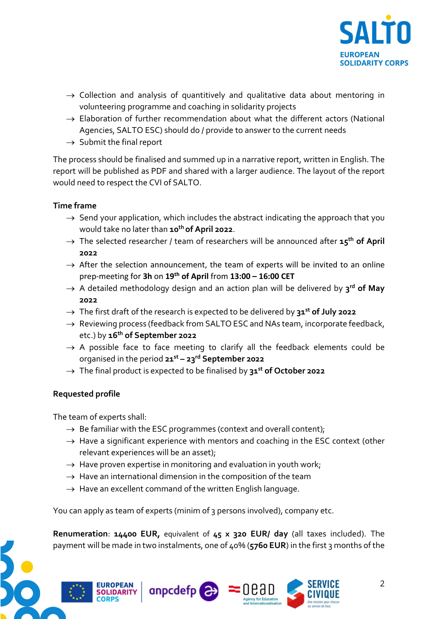

- $\rightarrow$  Collection and analysis of quantitively and qualitative data about mentoring in volunteering programme and coaching in solidarity projects
- $\rightarrow$  Elaboration of further recommendation about what the different actors (National Agencies, SALTO ESC) should do / provide to answer to the current needs
- $\rightarrow$  Submit the final report

The process should be finalised and summed up in a narrative report, written in English. The report will be published as PDF and shared with a larger audience. The layout of the report would need to respect the CVI of SALTO.

### Time frame

- $\rightarrow$  Send your application, which includes the abstract indicating the approach that you would take no later than 10<sup>th</sup> of April 2022.
- $\rightarrow$  The selected researcher / team of researchers will be announced after 15<sup>th</sup> of April 2022
- $\rightarrow$  After the selection announcement, the team of experts will be invited to an online prep-meeting for 3h on  $19<sup>th</sup>$  of April from  $13:00 - 16:00$  CET
- $\rightarrow$  A detailed methodology design and an action plan will be delivered by 3<sup>rd</sup> of May 2022
- $\rightarrow$  The first draft of the research is expected to be delivered by 31<sup>st</sup> of July 2022
- $\rightarrow$  Reviewing process (feedback from SALTO ESC and NAs team, incorporate feedback, etc.) by 16<sup>th</sup> of September 2022
- $\rightarrow$  A possible face to face meeting to clarify all the feedback elements could be organised in the period  $21^{st} - 23^{rd}$  September 2022
- $\rightarrow$  The final product is expected to be finalised by 31<sup>st</sup> of October 2022

#### Requested profile

The team of experts shall:

- $\rightarrow$  Be familiar with the ESC programmes (context and overall content);
- $\rightarrow$  Have a significant experience with mentors and coaching in the ESC context (other relevant experiences will be an asset);
- $\rightarrow$  Have proven expertise in monitoring and evaluation in youth work;
- $\rightarrow$  Have an international dimension in the composition of the team
- $\rightarrow$  Have an excellent command of the written English language.

You can apply as team of experts (minim of 3 persons involved), company etc.

Renumeration: 14400 EUR, equivalent of 45 x 320 EUR/ day (all taxes included). The payment will be made in two instalments, one of 40% (5760 EUR) in the first 3 months of the